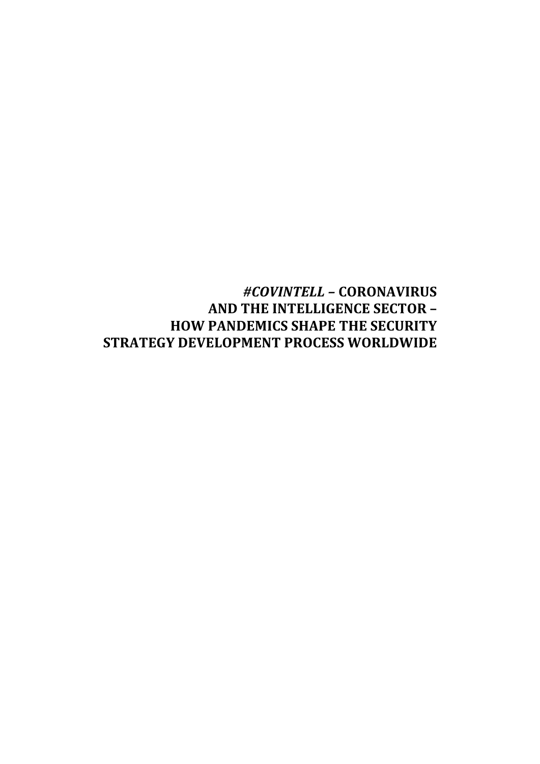# *#COVINTELL –* **CORONAVIRUS AND THE INTELLIGENCE SECTOR – HOW PANDEMICS SHAPE THE SECURITY STRATEGY DEVELOPMENT PROCESS WORLDWIDE**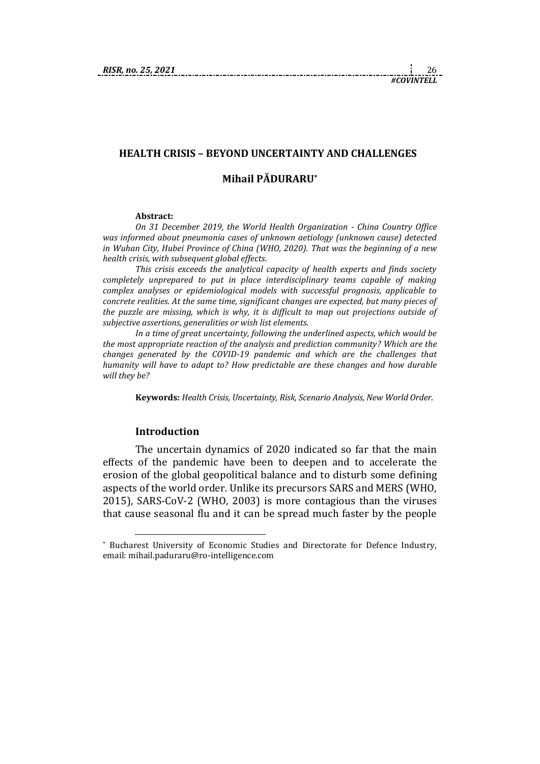# **HEALTH CRISIS – BEYOND UNCERTAINTY AND CHALLENGES Mihail PĂDURARU\***

#### **Abstract:**

*On 31 December 2019, the World Health Organization - China Country Office was informed about pneumonia cases of unknown aetiology (unknown cause) detected in Wuhan City, Hubei Province of China (WHO, 2020). That was the beginning of a new health crisis, with subsequent global effects.* 

*This crisis exceeds the analytical capacity of health experts and finds society completely unprepared to put in place interdisciplinary teams capable of making complex analyses or epidemiological models with successful prognosis, applicable to concrete realities. At the same time, significant changes are expected, but many pieces of the puzzle are missing, which is why, it is difficult to map out projections outside of subjective assertions, generalities or wish list elements.* 

*In a time of great uncertainty, following the underlined aspects, which would be the most appropriate reaction of the analysis and prediction community? Which are the changes generated by the COVID-19 pandemic and which are the challenges that humanity will have to adapt to? How predictable are these changes and how durable will they be?* 

**Keywords:** *Health Crisis, Uncertainty, Risk, Scenario Analysis, New World Order*.

#### **Introduction**

The uncertain dynamics of 2020 indicated so far that the main effects of the pandemic have been to deepen and to accelerate the erosion of the global geopolitical balance and to disturb some defining aspects of the world order. Unlike its precursors SARS and MERS (WHO, 2015), SARS-CoV-2 (WHO, 2003) is more contagious than the viruses that cause seasonal flu and it can be spread much faster by the people

<sup>\*</sup> Bucharest University of Economic Studies and Directorate for Defence Industry, email: mihail.paduraru@ro-intelligence.com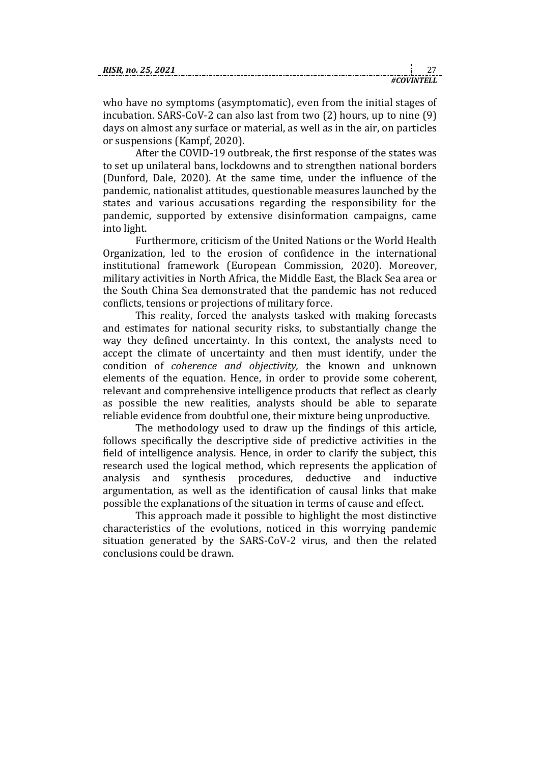| RISR. no. 25, 2021 |  |
|--------------------|--|
|                    |  |

*#COVINTELL*

who have no symptoms (asymptomatic), even from the initial stages of incubation. SARS-CoV-2 can also last from two (2) hours, up to nine (9) days on almost any surface or material, as well as in the air, on particles or suspensions (Kampf, 2020).

After the COVID-19 outbreak, the first response of the states was to set up unilateral bans, lockdowns and to strengthen national borders (Dunford, Dale, 2020). At the same time, under the influence of the pandemic, nationalist attitudes, questionable measures launched by the states and various accusations regarding the responsibility for the pandemic, supported by extensive disinformation campaigns, came into light.

Furthermore, criticism of the United Nations or the World Health Organization, led to the erosion of confidence in the international institutional framework (European Commission, 2020). Moreover, military activities in North Africa, the Middle East, the Black Sea area or the South China Sea demonstrated that the pandemic has not reduced conflicts, tensions or projections of military force.

This reality, forced the analysts tasked with making forecasts and estimates for national security risks, to substantially change the way they defined uncertainty. In this context, the analysts need to accept the climate of uncertainty and then must identify, under the condition of *coherence and objectivity,* the known and unknown elements of the equation. Hence, in order to provide some coherent, relevant and comprehensive intelligence products that reflect as clearly as possible the new realities, analysts should be able to separate reliable evidence from doubtful one, their mixture being unproductive.

The methodology used to draw up the findings of this article, follows specifically the descriptive side of predictive activities in the field of intelligence analysis. Hence, in order to clarify the subject, this research used the logical method, which represents the application of analysis and synthesis procedures, deductive and inductive argumentation, as well as the identification of causal links that make possible the explanations of the situation in terms of cause and effect.

This approach made it possible to highlight the most distinctive characteristics of the evolutions, noticed in this worrying pandemic situation generated by the SARS-CoV-2 virus, and then the related conclusions could be drawn.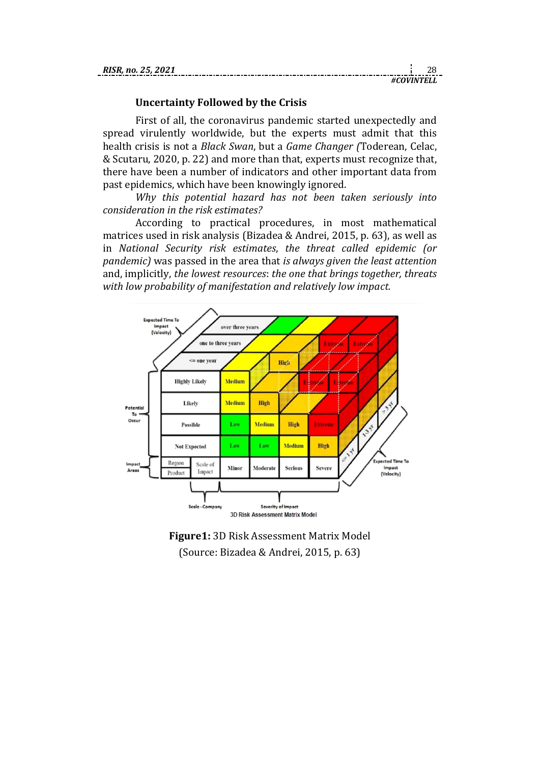#### **Uncertainty Followed by the Crisis**

First of all, the coronavirus pandemic started unexpectedly and spread virulently worldwide, but the experts must admit that this health crisis is not a *Black Swan*, but a *Game Changer (*Toderean, Celac, & Scutaru, 2020, p. 22) and more than that, experts must recognize that, there have been a number of indicators and other important data from past epidemics, which have been knowingly ignored.

*Why this potential hazard has not been taken seriously into consideration in the risk estimates?*

According to practical procedures, in most mathematical matrices used in risk analysis (Bizadea & Andrei, 2015, p. 63), as well as in *National Security risk estimates*, *the threat called epidemic (or pandemic)* was passed in the area that *is always given the least attention* and, implicitly, *the lowest resources*: *the one that brings together, threats with low probability of manifestation and relatively low impact.*



**Figure1:** 3D Risk Assessment Matrix Model (Source: Bizadea & Andrei, 2015, p. 63)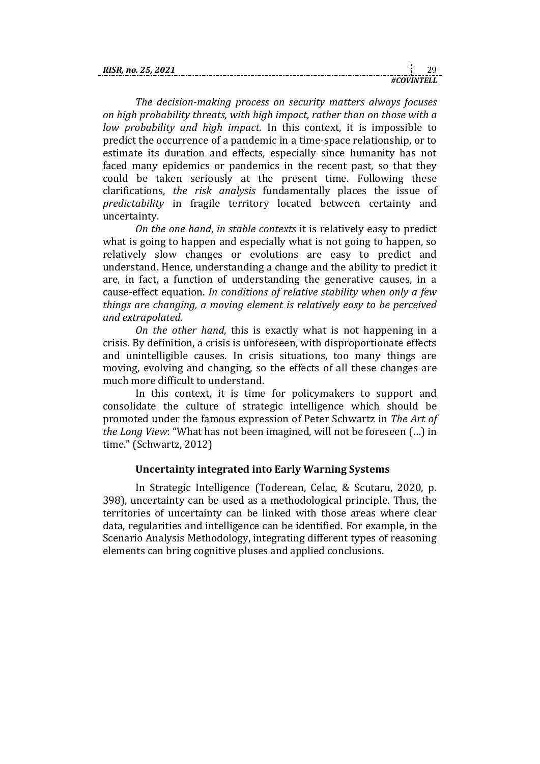| <b>RIS</b> |  |
|------------|--|
|            |  |

*The decision-making process on security matters always focuses on high probability threats, with high impact, rather than on those with a low probability and high impact.* In this context, it is impossible to predict the occurrence of a pandemic in a time-space relationship, or to estimate its duration and effects, especially since humanity has not faced many epidemics or pandemics in the recent past, so that they could be taken seriously at the present time. Following these clarifications, *the risk analysis* fundamentally places the issue of *predictability* in fragile territory located between certainty and uncertainty.

*On the one hand*, *in stable contexts* it is relatively easy to predict what is going to happen and especially what is not going to happen, so relatively slow changes or evolutions are easy to predict and understand. Hence, understanding a change and the ability to predict it are, in fact, a function of understanding the generative causes, in a cause-effect equation. *In conditions of relative stability when only a few things are changing, a moving element is relatively easy to be perceived and extrapolated.* 

*On the other hand*, this is exactly what is not happening in a crisis. By definition, a crisis is unforeseen, with disproportionate effects and unintelligible causes. In crisis situations, too many things are moving, evolving and changing, so the effects of all these changes are much more difficult to understand.

In this context, it is time for policymakers to support and consolidate the culture of strategic intelligence which should be promoted under the famous expression of Peter Schwartz in *The Art of the Long View*: "What has not been imagined, will not be foreseen (…) in time." (Schwartz, 2012)

### **Uncertainty integrated into Early Warning Systems**

In Strategic Intelligence (Toderean, Celac, & Scutaru, 2020, p. 398), uncertainty can be used as a methodological principle. Thus, the territories of uncertainty can be linked with those areas where clear data, regularities and intelligence can be identified. For example, in the Scenario Analysis Methodology, integrating different types of reasoning elements can bring cognitive pluses and applied conclusions.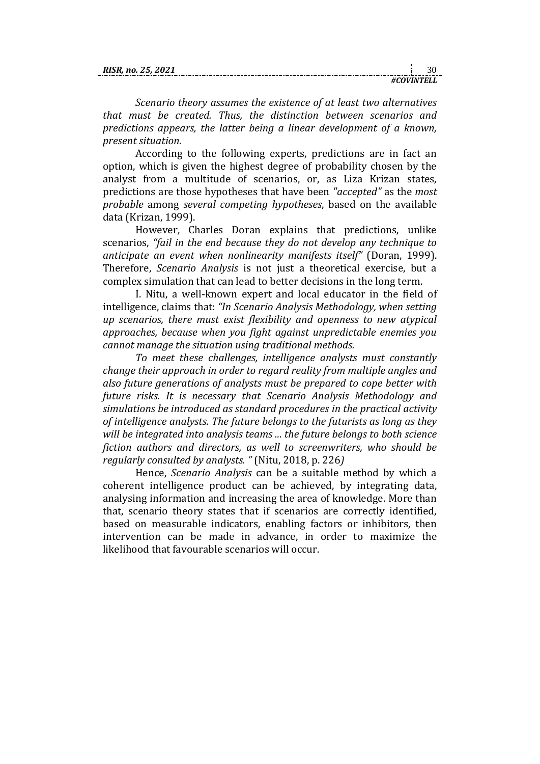| no. 25. |  |
|---------|--|
|         |  |

*Scenario theory assumes the existence of at least two alternatives that must be created. Thus, the distinction between scenarios and predictions appears, the latter being a linear development of a known, present situation.* 

According to the following experts, predictions are in fact an option, which is given the highest degree of probability chosen by the analyst from a multitude of scenarios, or, as Liza Krizan states, predictions are those hypotheses that have been *"accepted"* as the *most probable* among *several competing hypotheses*, based on the available data (Krizan, 1999).

However, Charles Doran explains that predictions, unlike scenarios, *"fail in the end because they do not develop any technique to anticipate an event when nonlinearity manifests itself"* (Doran, 1999). Therefore, *Scenario Analysis* is not just a theoretical exercise, but a complex simulation that can lead to better decisions in the long term.

I. Nitu, a well-known expert and local educator in the field of intelligence, claims that: *"In Scenario Analysis Methodology, when setting up scenarios, there must exist flexibility and openness to new atypical approaches, because when you fight against unpredictable enemies you cannot manage the situation using traditional methods.* 

*To meet these challenges, intelligence analysts must constantly change their approach in order to regard reality from multiple angles and also future generations of analysts must be prepared to cope better with future risks. It is necessary that Scenario Analysis Methodology and simulations be introduced as standard procedures in the practical activity of intelligence analysts. The future belongs to the futurists as long as they will be integrated into analysis teams ... the future belongs to both science fiction authors and directors, as well to screenwriters, who should be regularly consulted by analysts. "* (Nitu, 2018, p. 226*)*

Hence, *Scenario Analysis* can be a suitable method by which a coherent intelligence product can be achieved, by integrating data, analysing information and increasing the area of knowledge. More than that, scenario theory states that if scenarios are correctly identified, based on measurable indicators, enabling factors or inhibitors, then intervention can be made in advance, in order to maximize the likelihood that favourable scenarios will occur.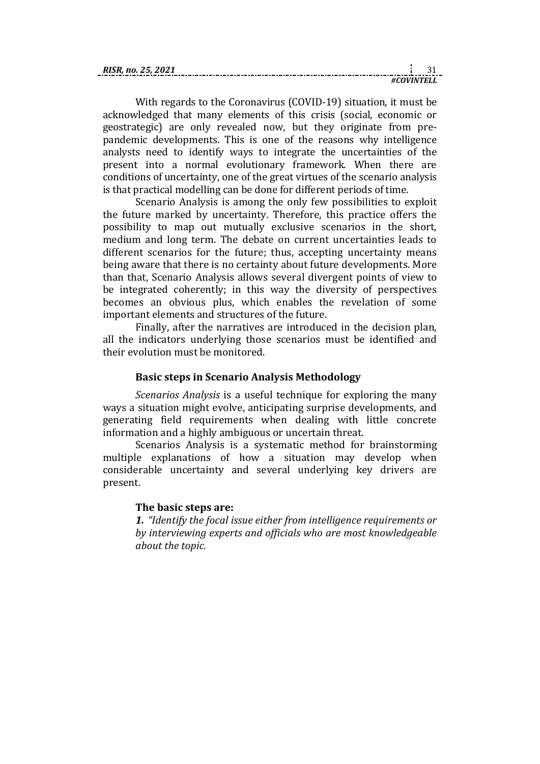| <b>RISR</b><br>R. no. 25.<br>2021 |          |  |
|-----------------------------------|----------|--|
|                                   | 'IVINTEI |  |

With regards to the Coronavirus (COVID-19) situation, it must be acknowledged that many elements of this crisis (social, economic or geostrategic) are only revealed now, but they originate from prepandemic developments. This is one of the reasons why intelligence analysts need to identify ways to integrate the uncertainties of the present into a normal evolutionary framework. When there are conditions of uncertainty, one of the great virtues of the scenario analysis is that practical modelling can be done for different periods of time.

Scenario Analysis is among the only few possibilities to exploit the future marked by uncertainty. Therefore, this practice offers the possibility to map out mutually exclusive scenarios in the short, medium and long term. The debate on current uncertainties leads to different scenarios for the future; thus, accepting uncertainty means being aware that there is no certainty about future developments. More than that, Scenario Analysis allows several divergent points of view to be integrated coherently; in this way the diversity of perspectives becomes an obvious plus, which enables the revelation of some important elements and structures of the future.

Finally, after the narratives are introduced in the decision plan, all the indicators underlying those scenarios must be identified and their evolution must be monitored.

## **Basic steps in Scenario Analysis Methodology**

*Scenarios Analysis* is a useful technique for exploring the many ways a situation might evolve, anticipating surprise developments, and generating field requirements when dealing with little concrete information and a highly ambiguous or uncertain threat.

Scenarios Analysis is a systematic method for brainstorming multiple explanations of how a situation may develop when considerable uncertainty and several underlying key drivers are present.

## **The basic steps are:**

*1. "Identify the focal issue either from intelligence requirements or by interviewing experts and officials who are most knowledgeable about the topic.*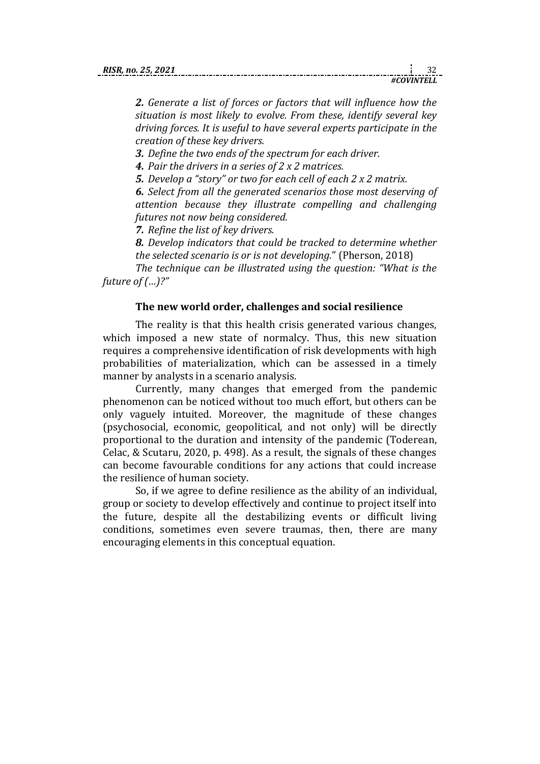*2. Generate a list of forces or factors that will influence how the situation is most likely to evolve. From these, identify several key driving forces. It is useful to have several experts participate in the creation of these key drivers.*

*3. Define the two ends of the spectrum for each driver.*

*4. Pair the drivers in a series of 2 x 2 matrices.*

*5. Develop a "story" or two for each cell of each 2 x 2 matrix.*

*6. Select from all the generated scenarios those most deserving of attention because they illustrate compelling and challenging futures not now being considered.*

*7. Refine the list of key drivers.*

*8. Develop indicators that could be tracked to determine whether the selected scenario is or is not developing.*" (Pherson, 2018)

*The technique can be illustrated using the question: "What is the future of (…)?"*

# **The new world order, challenges and social resilience**

The reality is that this health crisis generated various changes, which imposed a new state of normalcy. Thus, this new situation requires a comprehensive identification of risk developments with high probabilities of materialization, which can be assessed in a timely manner by analysts in a scenario analysis.

Currently, many changes that emerged from the pandemic phenomenon can be noticed without too much effort, but others can be only vaguely intuited. Moreover, the magnitude of these changes (psychosocial, economic, geopolitical, and not only) will be directly proportional to the duration and intensity of the pandemic (Toderean, Celac, & Scutaru, 2020, p. 498). As a result, the signals of these changes can become favourable conditions for any actions that could increase the resilience of human society.

So, if we agree to define resilience as the ability of an individual, group or society to develop effectively and continue to project itself into the future, despite all the destabilizing events or difficult living conditions, sometimes even severe traumas, then, there are many encouraging elements in this conceptual equation.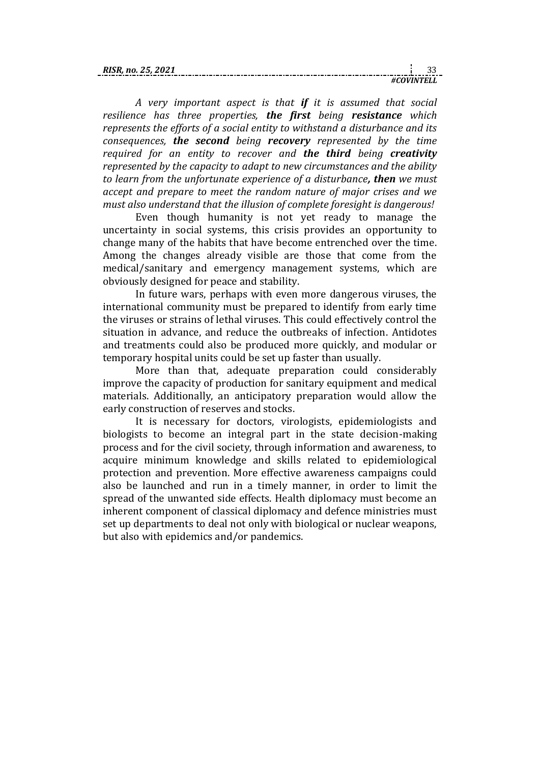| KI. |  |
|-----|--|
|     |  |

*A very important aspect is that if it is assumed that social resilience has three properties, the first being resistance which represents the efforts of a social entity to withstand a disturbance and its consequences, the second being recovery represented by the time required for an entity to recover and the third being creativity represented by the capacity to adapt to new circumstances and the ability to learn from the unfortunate experience of a disturbance, then we must accept and prepare to meet the random nature of major crises and we must also understand that the illusion of complete foresight is dangerous!*

Even though humanity is not yet ready to manage the uncertainty in social systems, this crisis provides an opportunity to change many of the habits that have become entrenched over the time. Among the changes already visible are those that come from the medical/sanitary and emergency management systems, which are obviously designed for peace and stability.

In future wars, perhaps with even more dangerous viruses, the international community must be prepared to identify from early time the viruses or strains of lethal viruses. This could effectively control the situation in advance, and reduce the outbreaks of infection. Antidotes and treatments could also be produced more quickly, and modular or temporary hospital units could be set up faster than usually.

More than that, adequate preparation could considerably improve the capacity of production for sanitary equipment and medical materials. Additionally, an anticipatory preparation would allow the early construction of reserves and stocks.

It is necessary for doctors, virologists, epidemiologists and biologists to become an integral part in the state decision-making process and for the civil society, through information and awareness, to acquire minimum knowledge and skills related to epidemiological protection and prevention. More effective awareness campaigns could also be launched and run in a timely manner, in order to limit the spread of the unwanted side effects. Health diplomacy must become an inherent component of classical diplomacy and defence ministries must set up departments to deal not only with biological or nuclear weapons, but also with epidemics and/or pandemics.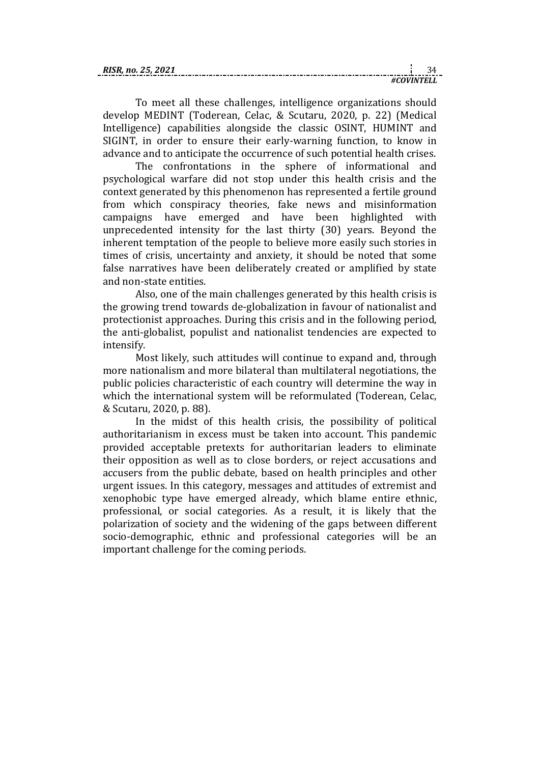| <b>RISR</b><br>25.<br>2021 |        |  |
|----------------------------|--------|--|
|                            | 7INTEL |  |

To meet all these challenges, intelligence organizations should develop MEDINT (Toderean, Celac, & Scutaru, 2020, p. 22) (Medical Intelligence) capabilities alongside the classic OSINT, HUMINT and SIGINT, in order to ensure their early-warning function, to know in advance and to anticipate the occurrence of such potential health crises.

The confrontations in the sphere of informational and psychological warfare did not stop under this health crisis and the context generated by this phenomenon has represented a fertile ground from which conspiracy theories, fake news and misinformation campaigns have emerged and have been highlighted with unprecedented intensity for the last thirty (30) years. Beyond the inherent temptation of the people to believe more easily such stories in times of crisis, uncertainty and anxiety, it should be noted that some false narratives have been deliberately created or amplified by state and non-state entities.

Also, one of the main challenges generated by this health crisis is the growing trend towards de-globalization in favour of nationalist and protectionist approaches. During this crisis and in the following period, the anti-globalist, populist and nationalist tendencies are expected to intensify.

Most likely, such attitudes will continue to expand and, through more nationalism and more bilateral than multilateral negotiations, the public policies characteristic of each country will determine the way in which the international system will be reformulated (Toderean, Celac, & Scutaru, 2020, p. 88).

In the midst of this health crisis, the possibility of political authoritarianism in excess must be taken into account. This pandemic provided acceptable pretexts for authoritarian leaders to eliminate their opposition as well as to close borders, or reject accusations and accusers from the public debate, based on health principles and other urgent issues. In this category, messages and attitudes of extremist and xenophobic type have emerged already, which blame entire ethnic, professional, or social categories. As a result, it is likely that the polarization of society and the widening of the gaps between different socio-demographic, ethnic and professional categories will be an important challenge for the coming periods.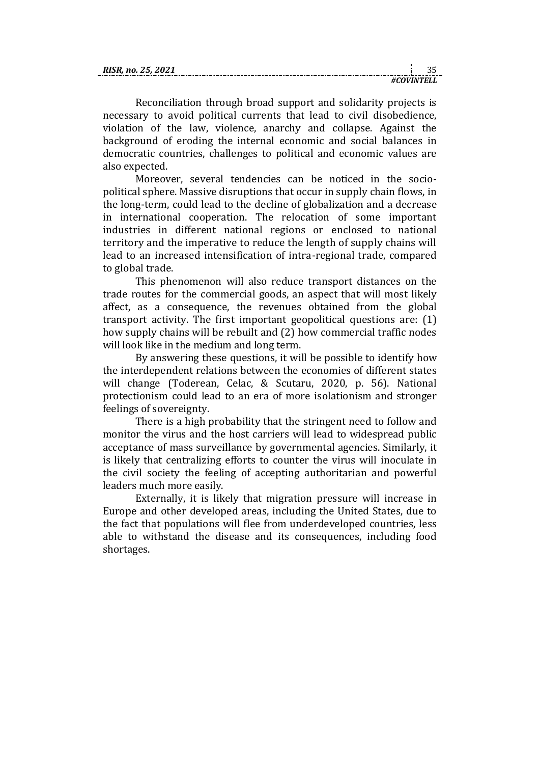| RIS |  |
|-----|--|
|     |  |

Reconciliation through broad support and solidarity projects is necessary to avoid political currents that lead to civil disobedience, violation of the law, violence, anarchy and collapse. Against the background of eroding the internal economic and social balances in democratic countries, challenges to political and economic values are also expected.

Moreover, several tendencies can be noticed in the sociopolitical sphere. Massive disruptions that occur in supply chain flows, in the long-term, could lead to the decline of globalization and a decrease in international cooperation. The relocation of some important industries in different national regions or enclosed to national territory and the imperative to reduce the length of supply chains will lead to an increased intensification of intra-regional trade, compared to global trade.

This phenomenon will also reduce transport distances on the trade routes for the commercial goods, an aspect that will most likely affect, as a consequence, the revenues obtained from the global transport activity. The first important geopolitical questions are: (1) how supply chains will be rebuilt and (2) how commercial traffic nodes will look like in the medium and long term.

By answering these questions, it will be possible to identify how the interdependent relations between the economies of different states will change (Toderean, Celac, & Scutaru, 2020, p. 56). National protectionism could lead to an era of more isolationism and stronger feelings of sovereignty.

There is a high probability that the stringent need to follow and monitor the virus and the host carriers will lead to widespread public acceptance of mass surveillance by governmental agencies. Similarly, it is likely that centralizing efforts to counter the virus will inoculate in the civil society the feeling of accepting authoritarian and powerful leaders much more easily.

Externally, it is likely that migration pressure will increase in Europe and other developed areas, including the United States, due to the fact that populations will flee from underdeveloped countries, less able to withstand the disease and its consequences, including food shortages.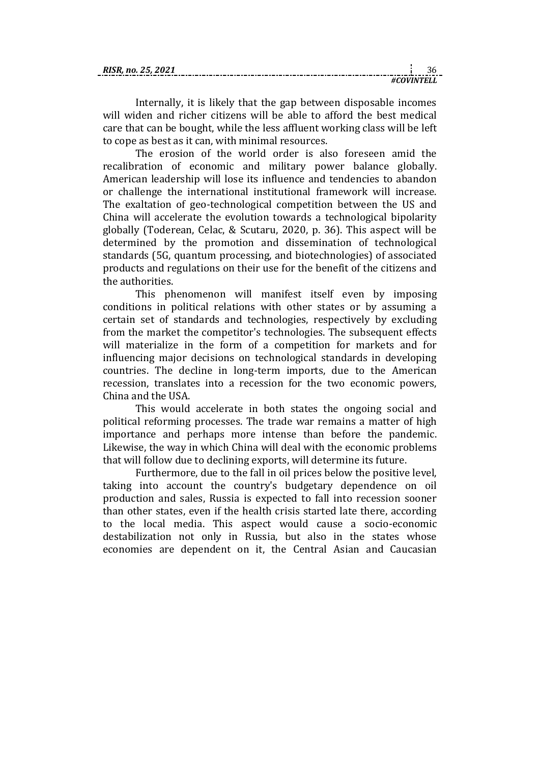Internally, it is likely that the gap between disposable incomes will widen and richer citizens will be able to afford the best medical care that can be bought, while the less affluent working class will be left to cope as best as it can, with minimal resources.

The erosion of the world order is also foreseen amid the recalibration of economic and military power balance globally. American leadership will lose its influence and tendencies to abandon or challenge the international institutional framework will increase. The exaltation of geo-technological competition between the US and China will accelerate the evolution towards a technological bipolarity globally (Toderean, Celac, & Scutaru, 2020, p. 36). This aspect will be determined by the promotion and dissemination of technological standards (5G, quantum processing, and biotechnologies) of associated products and regulations on their use for the benefit of the citizens and the authorities.

This phenomenon will manifest itself even by imposing conditions in political relations with other states or by assuming a certain set of standards and technologies, respectively by excluding from the market the competitor's technologies. The subsequent effects will materialize in the form of a competition for markets and for influencing major decisions on technological standards in developing countries. The decline in long-term imports, due to the American recession, translates into a recession for the two economic powers, China and the USA.

This would accelerate in both states the ongoing social and political reforming processes. The trade war remains a matter of high importance and perhaps more intense than before the pandemic. Likewise, the way in which China will deal with the economic problems that will follow due to declining exports, will determine its future.

Furthermore, due to the fall in oil prices below the positive level, taking into account the country's budgetary dependence on oil production and sales, Russia is expected to fall into recession sooner than other states, even if the health crisis started late there, according to the local media. This aspect would cause a socio-economic destabilization not only in Russia, but also in the states whose economies are dependent on it, the Central Asian and Caucasian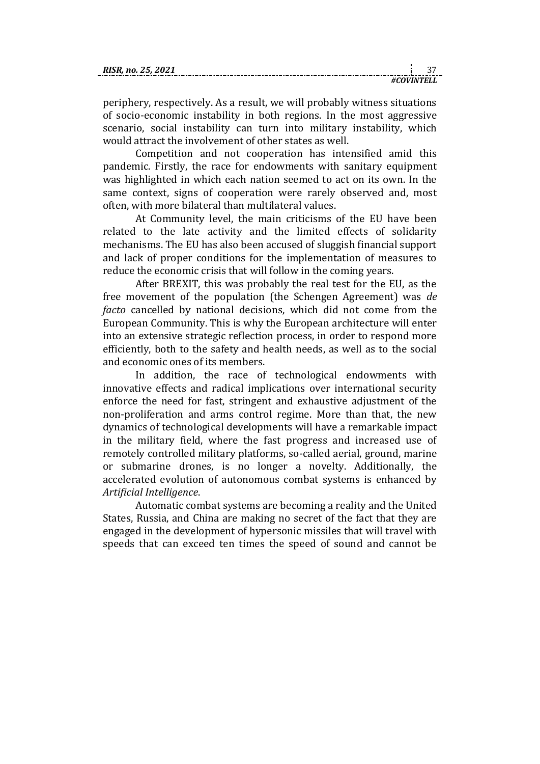| RI. |  |
|-----|--|
|     |  |

periphery, respectively. As a result, we will probably witness situations of socio-economic instability in both regions. In the most aggressive scenario, social instability can turn into military instability, which would attract the involvement of other states as well.

Competition and not cooperation has intensified amid this pandemic. Firstly, the race for endowments with sanitary equipment was highlighted in which each nation seemed to act on its own. In the same context, signs of cooperation were rarely observed and, most often, with more bilateral than multilateral values.

At Community level, the main criticisms of the EU have been related to the late activity and the limited effects of solidarity mechanisms. The EU has also been accused of sluggish financial support and lack of proper conditions for the implementation of measures to reduce the economic crisis that will follow in the coming years.

After BREXIT, this was probably the real test for the EU, as the free movement of the population (the Schengen Agreement) was *de facto* cancelled by national decisions, which did not come from the European Community. This is why the European architecture will enter into an extensive strategic reflection process, in order to respond more efficiently, both to the safety and health needs, as well as to the social and economic ones of its members.

In addition, the race of technological endowments with innovative effects and radical implications over international security enforce the need for fast, stringent and exhaustive adjustment of the non-proliferation and arms control regime. More than that, the new dynamics of technological developments will have a remarkable impact in the military field, where the fast progress and increased use of remotely controlled military platforms, so-called aerial, ground, marine or submarine drones, is no longer a novelty. Additionally, the accelerated evolution of autonomous combat systems is enhanced by *Artificial Intelligence*.

Automatic combat systems are becoming a reality and the United States, Russia, and China are making no secret of the fact that they are engaged in the development of hypersonic missiles that will travel with speeds that can exceed ten times the speed of sound and cannot be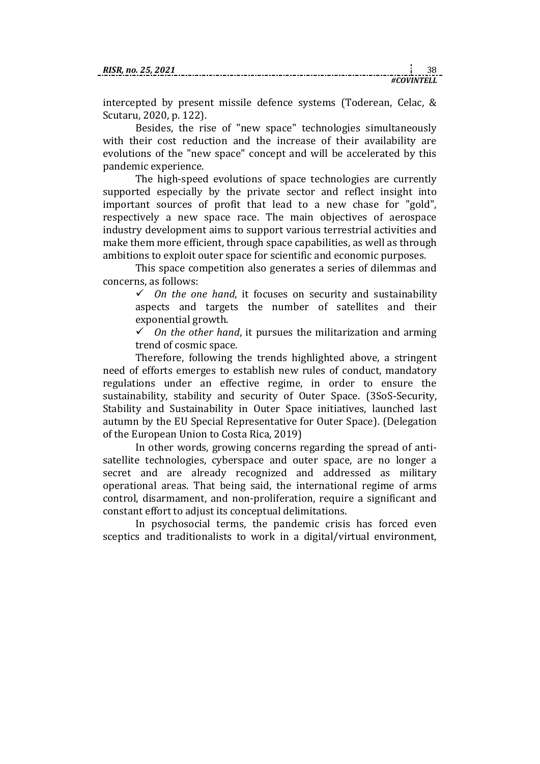intercepted by present missile defence systems (Toderean, Celac, & Scutaru, 2020, p. 122).

Besides, the rise of "new space" technologies simultaneously with their cost reduction and the increase of their availability are evolutions of the "new space" concept and will be accelerated by this pandemic experience.

The high-speed evolutions of space technologies are currently supported especially by the private sector and reflect insight into important sources of profit that lead to a new chase for "gold", respectively a new space race. The main objectives of aerospace industry development aims to support various terrestrial activities and make them more efficient, through space capabilities, as well as through ambitions to exploit outer space for scientific and economic purposes.

This space competition also generates a series of dilemmas and concerns, as follows:

 $\checkmark$  0n the one hand, it focuses on security and sustainability aspects and targets the number of satellites and their exponential growth.

 $\checkmark$  0n the other hand, it pursues the militarization and arming trend of cosmic space.

Therefore, following the trends highlighted above, a stringent need of efforts emerges to establish new rules of conduct, mandatory regulations under an effective regime, in order to ensure the sustainability, stability and security of Outer Space. (3SoS-Security, Stability and Sustainability in Outer Space initiatives, launched last autumn by the EU Special Representative for Outer Space). (Delegation of the European Union to Costa Rica, 2019)

In other words, growing concerns regarding the spread of antisatellite technologies, cyberspace and outer space, are no longer a secret and are already recognized and addressed as military operational areas. That being said, the international regime of arms control, disarmament, and non-proliferation, require a significant and constant effort to adjust its conceptual delimitations.

In psychosocial terms, the pandemic crisis has forced even sceptics and traditionalists to work in a digital/virtual environment,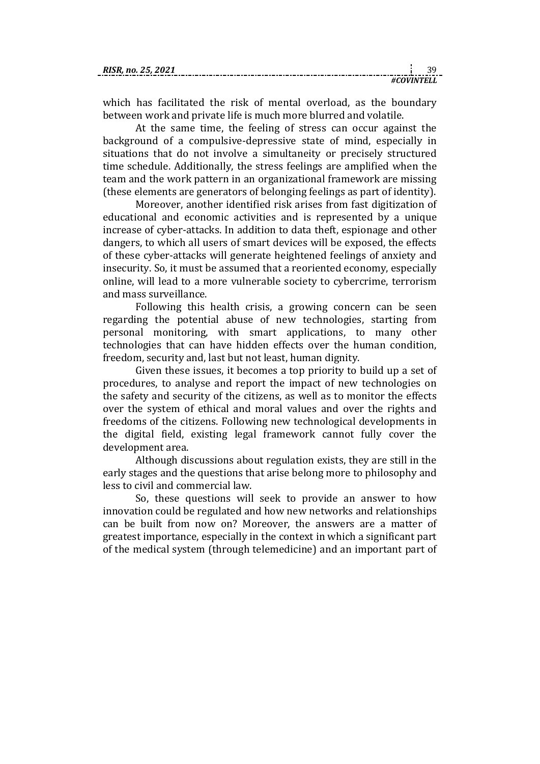| <b>RIS</b><br>nn |  |
|------------------|--|
|                  |  |

which has facilitated the risk of mental overload, as the boundary between work and private life is much more blurred and volatile.

At the same time, the feeling of stress can occur against the background of a compulsive-depressive state of mind, especially in situations that do not involve a simultaneity or precisely structured time schedule. Additionally, the stress feelings are amplified when the team and the work pattern in an organizational framework are missing (these elements are generators of belonging feelings as part of identity).

Moreover, another identified risk arises from fast digitization of educational and economic activities and is represented by a unique increase of cyber-attacks. In addition to data theft, espionage and other dangers, to which all users of smart devices will be exposed, the effects of these cyber-attacks will generate heightened feelings of anxiety and insecurity. So, it must be assumed that a reoriented economy, especially online, will lead to a more vulnerable society to cybercrime, terrorism and mass surveillance.

Following this health crisis, a growing concern can be seen regarding the potential abuse of new technologies, starting from personal monitoring, with smart applications, to many other technologies that can have hidden effects over the human condition, freedom, security and, last but not least, human dignity.

Given these issues, it becomes a top priority to build up a set of procedures, to analyse and report the impact of new technologies on the safety and security of the citizens, as well as to monitor the effects over the system of ethical and moral values and over the rights and freedoms of the citizens. Following new technological developments in the digital field, existing legal framework cannot fully cover the development area.

Although discussions about regulation exists, they are still in the early stages and the questions that arise belong more to philosophy and less to civil and commercial law.

So, these questions will seek to provide an answer to how innovation could be regulated and how new networks and relationships can be built from now on? Moreover, the answers are a matter of greatest importance, especially in the context in which a significant part of the medical system (through telemedicine) and an important part of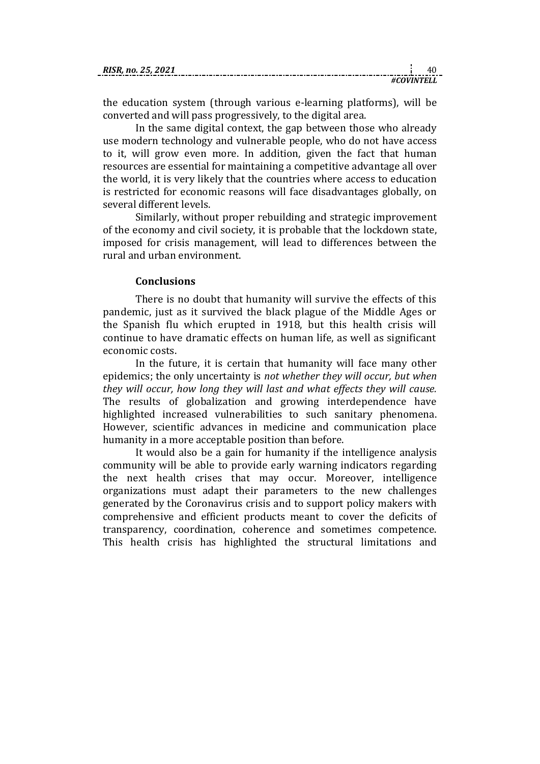| $\mathbf{v}$<br>no. 25 |  |
|------------------------|--|
|                        |  |

the education system (through various e-learning platforms), will be converted and will pass progressively, to the digital area.

In the same digital context, the gap between those who already use modern technology and vulnerable people, who do not have access to it, will grow even more. In addition, given the fact that human resources are essential for maintaining a competitive advantage all over the world, it is very likely that the countries where access to education is restricted for economic reasons will face disadvantages globally, on several different levels.

Similarly, without proper rebuilding and strategic improvement of the economy and civil society, it is probable that the lockdown state, imposed for crisis management, will lead to differences between the rural and urban environment.

### **Conclusions**

There is no doubt that humanity will survive the effects of this pandemic, just as it survived the black plague of the Middle Ages or the Spanish flu which erupted in 1918, but this health crisis will continue to have dramatic effects on human life, as well as significant economic costs.

In the future, it is certain that humanity will face many other epidemics; the only uncertainty is *not whether they will occur, but when they will occur, how long they will last and what effects they will cause.* The results of globalization and growing interdependence have highlighted increased vulnerabilities to such sanitary phenomena. However, scientific advances in medicine and communication place humanity in a more acceptable position than before.

It would also be a gain for humanity if the intelligence analysis community will be able to provide early warning indicators regarding the next health crises that may occur. Moreover, intelligence organizations must adapt their parameters to the new challenges generated by the Coronavirus crisis and to support policy makers with comprehensive and efficient products meant to cover the deficits of transparency, coordination, coherence and sometimes competence. This health crisis has highlighted the structural limitations and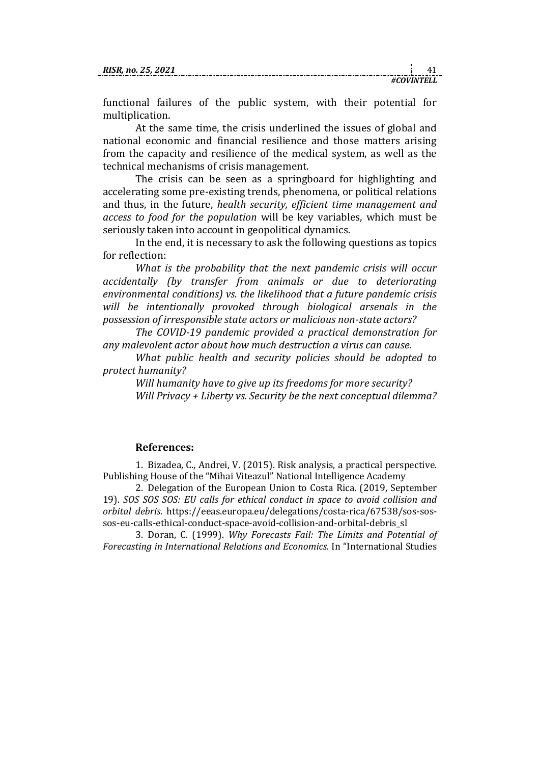functional failures of the public system, with their potential for multiplication.

At the same time, the crisis underlined the issues of global and national economic and financial resilience and those matters arising from the capacity and resilience of the medical system, as well as the technical mechanisms of crisis management.

The crisis can be seen as a springboard for highlighting and accelerating some pre-existing trends, phenomena, or political relations and thus, in the future, *health security, efficient time management and access to food for the population* will be key variables, which must be seriously taken into account in geopolitical dynamics.

In the end, it is necessary to ask the following questions as topics for reflection:

*What is the probability that the next pandemic crisis will occur accidentally (by transfer from animals or due to deteriorating environmental conditions) vs. the likelihood that a future pandemic crisis will be intentionally provoked through biological arsenals in the possession of irresponsible state actors or malicious non-state actors?* 

*The COVID-19 pandemic provided a practical demonstration for any malevolent actor about how much destruction a virus can cause.* 

*What public health and security policies should be adopted to protect humanity?*

*Will humanity have to give up its freedoms for more security? Will Privacy + Liberty vs. Security be the next conceptual dilemma?*

#### **References:**

1. Bizadea, C., Andrei, V. (2015). Risk analysis, a practical perspective. Publishing House of the "Mihai Viteazul" National Intelligence Academy

2. Delegation of the European Union to Costa Rica. (2019, September 19). *SOS SOS SOS: EU calls for ethical conduct in space to avoid collision and orbital debris*. https://eeas.europa.eu/delegations/costa-rica/67538/sos-sossos-eu-calls-ethical-conduct-space-avoid-collision-and-orbital-debris\_sl

3. Doran, C. (1999). *Why Forecasts Fail: The Limits and Potential of Forecasting in International Relations and Economics*. In "International Studies